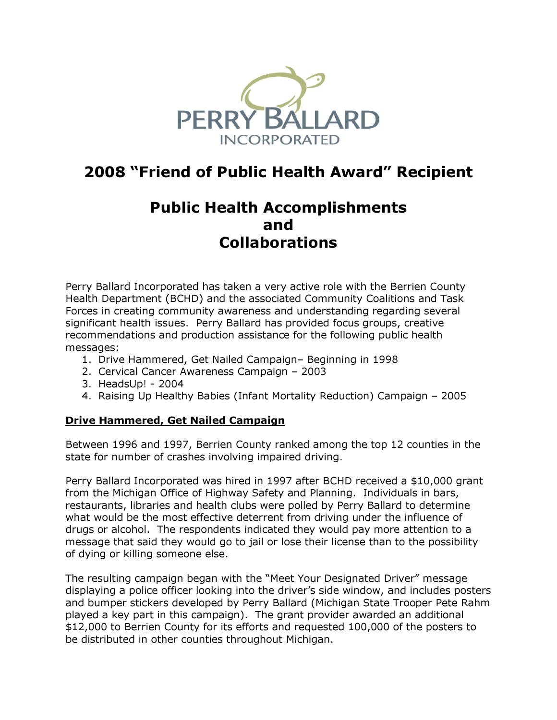

# 2008 "Friend of Public Health Award" Recipient

## Public Health Accomplishments and Collaborations

Perry Ballard Incorporated has taken a very active role with the Berrien County Health Department (BCHD) and the associated Community Coalitions and Task Forces in creating community awareness and understanding regarding several significant health issues. Perry Ballard has provided focus groups, creative recommendations and production assistance for the following public health messages:

- 1. Drive Hammered, Get Nailed Campaign– Beginning in 1998
- 2. Cervical Cancer Awareness Campaign 2003
- 3. HeadsUp! 2004
- 4. Raising Up Healthy Babies (Infant Mortality Reduction) Campaign 2005

#### Drive Hammered, Get Nailed Campaign

Between 1996 and 1997, Berrien County ranked among the top 12 counties in the state for number of crashes involving impaired driving.

Perry Ballard Incorporated was hired in 1997 after BCHD received a \$10,000 grant from the Michigan Office of Highway Safety and Planning. Individuals in bars, restaurants, libraries and health clubs were polled by Perry Ballard to determine what would be the most effective deterrent from driving under the influence of drugs or alcohol. The respondents indicated they would pay more attention to a message that said they would go to jail or lose their license than to the possibility of dying or killing someone else.

The resulting campaign began with the "Meet Your Designated Driver" message displaying a police officer looking into the driver's side window, and includes posters and bumper stickers developed by Perry Ballard (Michigan State Trooper Pete Rahm played a key part in this campaign). The grant provider awarded an additional \$12,000 to Berrien County for its efforts and requested 100,000 of the posters to be distributed in other counties throughout Michigan.